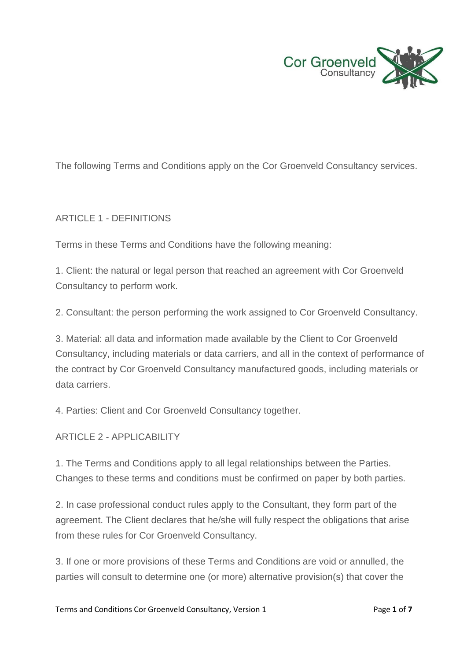

The following Terms and Conditions apply on the Cor Groenveld Consultancy services.

#### ARTICLE 1 - DEFINITIONS

Terms in these Terms and Conditions have the following meaning:

1. Client: the natural or legal person that reached an agreement with Cor Groenveld Consultancy to perform work.

2. Consultant: the person performing the work assigned to Cor Groenveld Consultancy.

3. Material: all data and information made available by the Client to Cor Groenveld Consultancy, including materials or data carriers, and all in the context of performance of the contract by Cor Groenveld Consultancy manufactured goods, including materials or data carriers.

4. Parties: Client and Cor Groenveld Consultancy together.

ARTICLE 2 - APPLICABILITY

1. The Terms and Conditions apply to all legal relationships between the Parties. Changes to these terms and conditions must be confirmed on paper by both parties.

2. In case professional conduct rules apply to the Consultant, they form part of the agreement. The Client declares that he/she will fully respect the obligations that arise from these rules for Cor Groenveld Consultancy.

3. If one or more provisions of these Terms and Conditions are void or annulled, the parties will consult to determine one (or more) alternative provision(s) that cover the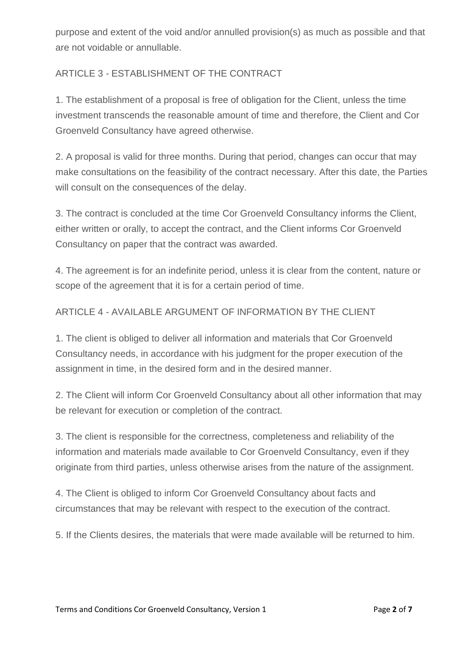purpose and extent of the void and/or annulled provision(s) as much as possible and that are not voidable or annullable.

## ARTICLE 3 - ESTABLISHMENT OF THE CONTRACT

1. The establishment of a proposal is free of obligation for the Client, unless the time investment transcends the reasonable amount of time and therefore, the Client and Cor Groenveld Consultancy have agreed otherwise.

2. A proposal is valid for three months. During that period, changes can occur that may make consultations on the feasibility of the contract necessary. After this date, the Parties will consult on the consequences of the delay.

3. The contract is concluded at the time Cor Groenveld Consultancy informs the Client, either written or orally, to accept the contract, and the Client informs Cor Groenveld Consultancy on paper that the contract was awarded.

4. The agreement is for an indefinite period, unless it is clear from the content, nature or scope of the agreement that it is for a certain period of time.

## ARTICLE 4 - AVAILABLE ARGUMENT OF INFORMATION BY THE CLIENT

1. The client is obliged to deliver all information and materials that Cor Groenveld Consultancy needs, in accordance with his judgment for the proper execution of the assignment in time, in the desired form and in the desired manner.

2. The Client will inform Cor Groenveld Consultancy about all other information that may be relevant for execution or completion of the contract.

3. The client is responsible for the correctness, completeness and reliability of the information and materials made available to Cor Groenveld Consultancy, even if they originate from third parties, unless otherwise arises from the nature of the assignment.

4. The Client is obliged to inform Cor Groenveld Consultancy about facts and circumstances that may be relevant with respect to the execution of the contract.

5. If the Clients desires, the materials that were made available will be returned to him.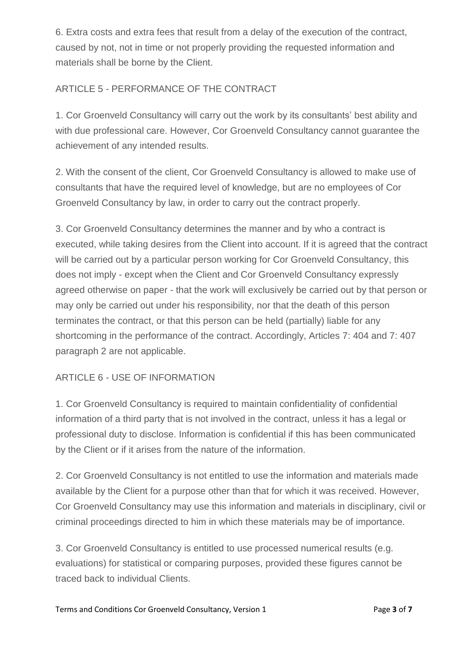6. Extra costs and extra fees that result from a delay of the execution of the contract, caused by not, not in time or not properly providing the requested information and materials shall be borne by the Client.

# ARTICLE 5 - PERFORMANCE OF THE CONTRACT

1. Cor Groenveld Consultancy will carry out the work by its consultants' best ability and with due professional care. However, Cor Groenveld Consultancy cannot guarantee the achievement of any intended results.

2. With the consent of the client, Cor Groenveld Consultancy is allowed to make use of consultants that have the required level of knowledge, but are no employees of Cor Groenveld Consultancy by law, in order to carry out the contract properly.

3. Cor Groenveld Consultancy determines the manner and by who a contract is executed, while taking desires from the Client into account. If it is agreed that the contract will be carried out by a particular person working for Cor Groenveld Consultancy, this does not imply - except when the Client and Cor Groenveld Consultancy expressly agreed otherwise on paper - that the work will exclusively be carried out by that person or may only be carried out under his responsibility, nor that the death of this person terminates the contract, or that this person can be held (partially) liable for any shortcoming in the performance of the contract. Accordingly, Articles 7: 404 and 7: 407 paragraph 2 are not applicable.

## ARTICLE 6 - USE OF INFORMATION

1. Cor Groenveld Consultancy is required to maintain confidentiality of confidential information of a third party that is not involved in the contract, unless it has a legal or professional duty to disclose. Information is confidential if this has been communicated by the Client or if it arises from the nature of the information.

2. Cor Groenveld Consultancy is not entitled to use the information and materials made available by the Client for a purpose other than that for which it was received. However, Cor Groenveld Consultancy may use this information and materials in disciplinary, civil or criminal proceedings directed to him in which these materials may be of importance.

3. Cor Groenveld Consultancy is entitled to use processed numerical results (e.g. evaluations) for statistical or comparing purposes, provided these figures cannot be traced back to individual Clients.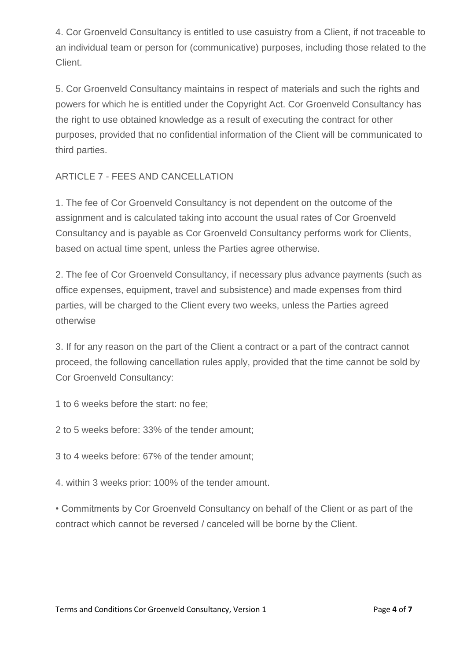4. Cor Groenveld Consultancy is entitled to use casuistry from a Client, if not traceable to an individual team or person for (communicative) purposes, including those related to the Client.

5. Cor Groenveld Consultancy maintains in respect of materials and such the rights and powers for which he is entitled under the Copyright Act. Cor Groenveld Consultancy has the right to use obtained knowledge as a result of executing the contract for other purposes, provided that no confidential information of the Client will be communicated to third parties.

## ARTICLE 7 - FEES AND CANCELLATION

1. The fee of Cor Groenveld Consultancy is not dependent on the outcome of the assignment and is calculated taking into account the usual rates of Cor Groenveld Consultancy and is payable as Cor Groenveld Consultancy performs work for Clients, based on actual time spent, unless the Parties agree otherwise.

2. The fee of Cor Groenveld Consultancy, if necessary plus advance payments (such as office expenses, equipment, travel and subsistence) and made expenses from third parties, will be charged to the Client every two weeks, unless the Parties agreed otherwise

3. If for any reason on the part of the Client a contract or a part of the contract cannot proceed, the following cancellation rules apply, provided that the time cannot be sold by Cor Groenveld Consultancy:

1 to 6 weeks before the start: no fee;

2 to 5 weeks before: 33% of the tender amount;

3 to 4 weeks before: 67% of the tender amount;

4. within 3 weeks prior: 100% of the tender amount.

• Commitments by Cor Groenveld Consultancy on behalf of the Client or as part of the contract which cannot be reversed / canceled will be borne by the Client.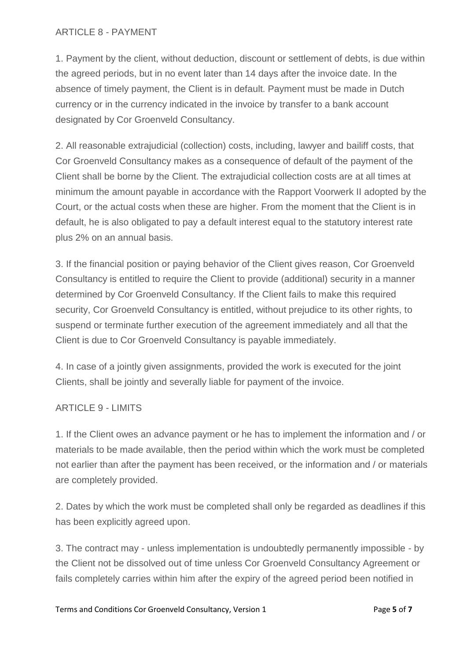#### ARTICLE 8 - PAYMENT

1. Payment by the client, without deduction, discount or settlement of debts, is due within the agreed periods, but in no event later than 14 days after the invoice date. In the absence of timely payment, the Client is in default. Payment must be made in Dutch currency or in the currency indicated in the invoice by transfer to a bank account designated by Cor Groenveld Consultancy.

2. All reasonable extrajudicial (collection) costs, including, lawyer and bailiff costs, that Cor Groenveld Consultancy makes as a consequence of default of the payment of the Client shall be borne by the Client. The extrajudicial collection costs are at all times at minimum the amount payable in accordance with the Rapport Voorwerk II adopted by the Court, or the actual costs when these are higher. From the moment that the Client is in default, he is also obligated to pay a default interest equal to the statutory interest rate plus 2% on an annual basis.

3. If the financial position or paying behavior of the Client gives reason, Cor Groenveld Consultancy is entitled to require the Client to provide (additional) security in a manner determined by Cor Groenveld Consultancy. If the Client fails to make this required security, Cor Groenveld Consultancy is entitled, without prejudice to its other rights, to suspend or terminate further execution of the agreement immediately and all that the Client is due to Cor Groenveld Consultancy is payable immediately.

4. In case of a jointly given assignments, provided the work is executed for the joint Clients, shall be jointly and severally liable for payment of the invoice.

#### ARTICLE 9 - LIMITS

1. If the Client owes an advance payment or he has to implement the information and / or materials to be made available, then the period within which the work must be completed not earlier than after the payment has been received, or the information and / or materials are completely provided.

2. Dates by which the work must be completed shall only be regarded as deadlines if this has been explicitly agreed upon.

3. The contract may - unless implementation is undoubtedly permanently impossible - by the Client not be dissolved out of time unless Cor Groenveld Consultancy Agreement or fails completely carries within him after the expiry of the agreed period been notified in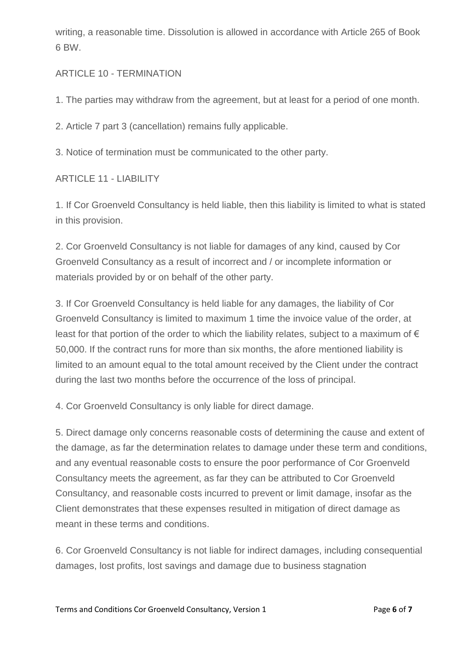writing, a reasonable time. Dissolution is allowed in accordance with Article 265 of Book 6 BW.

### ARTICLE 10 - TERMINATION

1. The parties may withdraw from the agreement, but at least for a period of one month.

2. Article 7 part 3 (cancellation) remains fully applicable.

3. Notice of termination must be communicated to the other party.

#### ARTICLE 11 - LIABILITY

1. If Cor Groenveld Consultancy is held liable, then this liability is limited to what is stated in this provision.

2. Cor Groenveld Consultancy is not liable for damages of any kind, caused by Cor Groenveld Consultancy as a result of incorrect and / or incomplete information or materials provided by or on behalf of the other party.

3. If Cor Groenveld Consultancy is held liable for any damages, the liability of Cor Groenveld Consultancy is limited to maximum 1 time the invoice value of the order, at least for that portion of the order to which the liability relates, subject to a maximum of  $\epsilon$ 50,000. If the contract runs for more than six months, the afore mentioned liability is limited to an amount equal to the total amount received by the Client under the contract during the last two months before the occurrence of the loss of principal.

4. Cor Groenveld Consultancy is only liable for direct damage.

5. Direct damage only concerns reasonable costs of determining the cause and extent of the damage, as far the determination relates to damage under these term and conditions, and any eventual reasonable costs to ensure the poor performance of Cor Groenveld Consultancy meets the agreement, as far they can be attributed to Cor Groenveld Consultancy, and reasonable costs incurred to prevent or limit damage, insofar as the Client demonstrates that these expenses resulted in mitigation of direct damage as meant in these terms and conditions.

6. Cor Groenveld Consultancy is not liable for indirect damages, including consequential damages, lost profits, lost savings and damage due to business stagnation